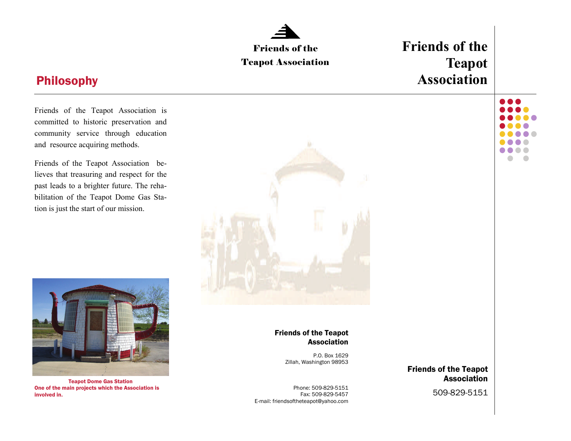## **Friends of the**  Friends of the **Teapot**  Teapot Association **Association**  Philosophy 0 Q Q Friends of the Teapot Association is committed to historic preservation and community service through education and resource acquiring methods. . .  $\bullet$   $\bullet$  $\bullet$ Friends of the Teapot Association believes that treasuring and respect for the past leads to a brighter future. The rehabilitation of the Teapot Dome Gas Station is just the start of our mission.



Teapot Dome Gas Station One of the main projects which the Association is involved in.

Friends of the Teapot Association

> P.O. Box 1629 Zillah, Washington 98953

Phone: 509-829-5151 Fax: 509-829-5457 E-mail: friendsoftheteapot@yahoo.com

Friends of the Teapot Association

509-829-5151